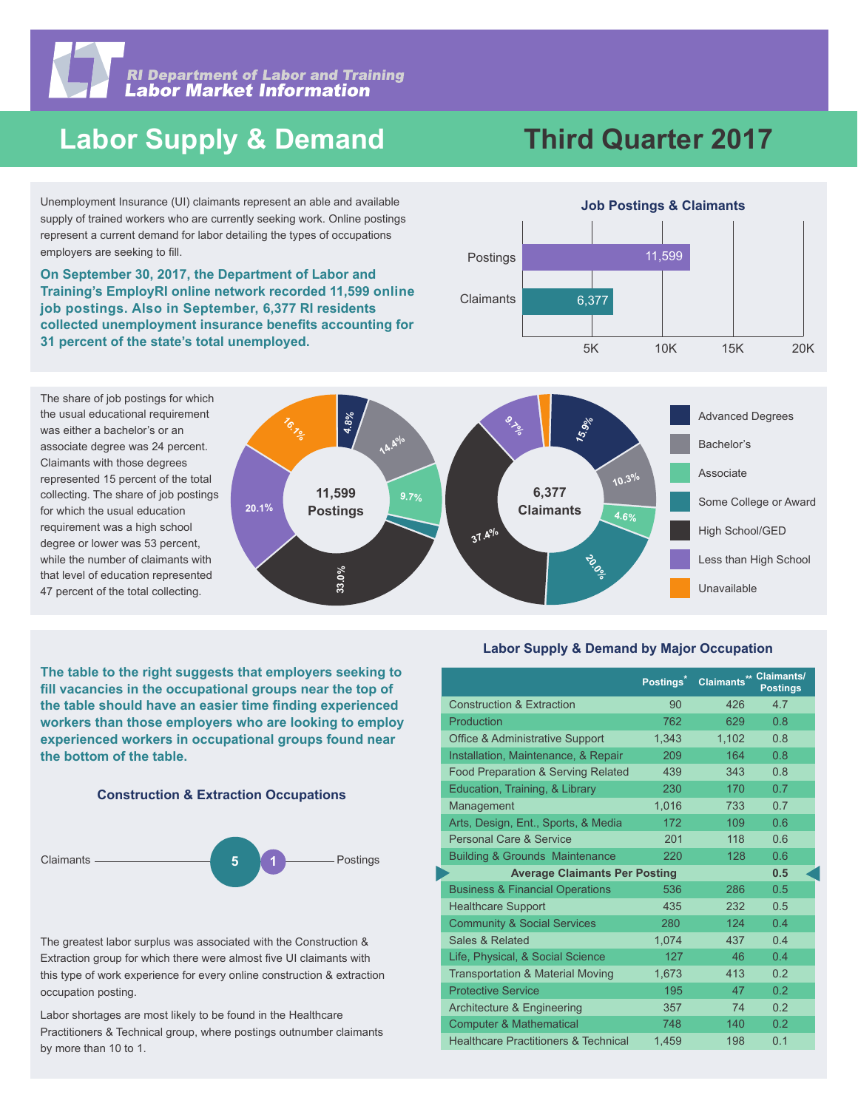

**RI Department of Labor and Training<br>Labor Market Information** 

# **Labor Supply & Demand**

# **Third Quarter 2017**

Unemployment Insurance (UI) claimants represent an able and available supply of trained workers who are currently seeking work. Online postings represent a current demand for labor detailing the types of occupations employers are seeking to fill.

**On September 30, 2017, the Department of Labor and Training's EmployRI online network recorded 11,599 online job postings. Also in September, 6,377 RI residents**  collected unemployment insurance benefits accounting for **31 percent of the state's total unemployed.** 

The share of job postings for which the usual educational requirement was either a bachelor's or an associate degree was 24 percent. Claimants with those degrees represented 15 percent of the total collecting. The share of job postings for which the usual education requirement was a high school degree or lower was 53 percent, while the number of claimants with that level of education represented 47 percent of the total collecting.



**The table to the right suggests that employers seeking to**  fill vacancies in the occupational groups near the top of the table should have an easier time finding experienced **workers than those employers who are looking to employ experienced workers in occupational groups found near the bottom of the table.**





The greatest labor surplus was associated with the Construction & Extraction group for which there were almost five UI claimants with this type of work experience for every online construction & extraction occupation posting.

Labor shortages are most likely to be found in the Healthcare Practitioners & Technical group, where postings outnumber claimants by more than 10 to 1.

#### **Labor Supply & Demand by Major Occupation**

|                                                 | Postings <sup>*</sup> | Claimants** Claimants/ | <b>Postings</b> |
|-------------------------------------------------|-----------------------|------------------------|-----------------|
| <b>Construction &amp; Extraction</b>            | 90                    | 426                    | 4.7             |
| Production                                      | 762                   | 629                    | 0.8             |
| <b>Office &amp; Administrative Support</b>      | 1.343                 | 1.102                  | 0.8             |
| Installation, Maintenance, & Repair             | 209                   | 164                    | 0.8             |
| Food Preparation & Serving Related              | 439                   | 343                    | 0.8             |
| Education, Training, & Library                  | 230                   | 170                    | 0.7             |
| Management                                      | 1.016                 | 733                    | 0.7             |
| Arts, Design, Ent., Sports, & Media             | 172                   | 109                    | 0.6             |
| Personal Care & Service                         | 201                   | 118                    | 0.6             |
| <b>Building &amp; Grounds Maintenance</b>       | 220                   | 128                    | 0.6             |
| <b>Average Claimants Per Posting</b>            | 0.5                   |                        |                 |
| <b>Business &amp; Financial Operations</b>      | 536                   | 286                    | 0.5             |
| <b>Healthcare Support</b>                       | 435                   | 232                    | 0.5             |
| <b>Community &amp; Social Services</b>          | 280                   | 124                    | 0.4             |
| Sales & Related                                 | 1,074                 | 437                    | 0.4             |
| Life, Physical, & Social Science                | 127                   | 46                     | 0.4             |
| <b>Transportation &amp; Material Moving</b>     | 1.673                 | 413                    | 0.2             |
| <b>Protective Service</b>                       | 195                   | 47                     | 0.2             |
| Architecture & Engineering                      | 357                   | 74                     | 0.2             |
| <b>Computer &amp; Mathematical</b>              | 748                   | 140                    | 0.2             |
| <b>Healthcare Practitioners &amp; Technical</b> | 1.459                 | 198                    | 0.1             |